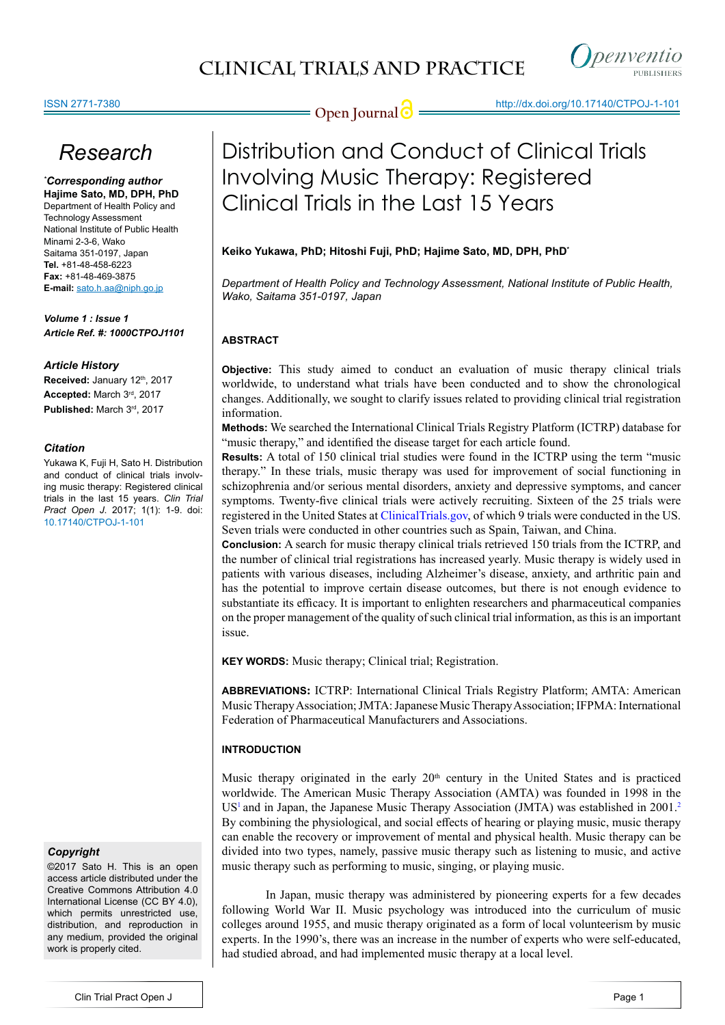

## *Research*

*\* Corresponding author* **Hajime Sato, MD, DPH, PhD** Department of Health Policy and Technology Assessment National Institute of Public Health Minami 2-3-6, Wako Saitama 351-0197, Japan **Tel.** +81-48-458-6223 **Fax:** +81-48-469-3875 **E-mail:** sato.h.aa@niph.go.jp

*Volume 1 : Issue 1 Article Ref. #: 1000CTPOJ1101*

#### *Article History*

**Received: January 12th, 2017 Accepted:** March 3rd, 2017 **Published:** March 3rd, 2017

#### *Citation*

Yukawa K, Fuji H, Sato H. Distribution and conduct of clinical trials involving music therapy: Registered clinical trials in the last 15 years. *Clin Trial Pract Open J*. 2017; 1(1): 1-9. doi: [10.17140/CTPOJ-1-101](http://dx.doi.org/10.17140/CTPOJ-1-101)

#### *Copyright*

©2017 Sato H. This is an open access article distributed under the Creative Commons Attribution 4.0 International License (CC BY 4.0), which permits unrestricted use, distribution, and reproduction in any medium, provided the original work is properly cited.

## **Open Journal** http://dx.doi.org[/10.17140/CTPOJ-1-101](http://dx.doi.org/10.17140/CTPOJ-1-101)

## Distribution and Conduct of Clinical Trials Involving Music Therapy: Registered Clinical Trials in the Last 15 Years

#### **Keiko Yukawa, PhD; Hitoshi Fuji, PhD; Hajime Sato, MD, DPH, PhD\***

*Department of Health Policy and Technology Assessment, National Institute of Public Health, Wako, Saitama 351-0197, Japan*

#### **ABSTRACT**

**Objective:** This study aimed to conduct an evaluation of music therapy clinical trials worldwide, to understand what trials have been conducted and to show the chronological changes. Additionally, we sought to clarify issues related to providing clinical trial registration information.

**Methods:** We searched the International Clinical Trials Registry Platform (ICTRP) database for "music therapy," and identified the disease target for each article found.

**Results:** A total of 150 clinical trial studies were found in the ICTRP using the term "music therapy." In these trials, music therapy was used for improvement of social functioning in schizophrenia and/or serious mental disorders, anxiety and depressive symptoms, and cancer symptoms. Twenty-five clinical trials were actively recruiting. Sixteen of the 25 trials were registered in the United States at <ClinicalTrials.gov>, of which 9 trials were conducted in the US. Seven trials were conducted in other countries such as Spain, Taiwan, and China.

**Conclusion:** A search for music therapy clinical trials retrieved 150 trials from the ICTRP, and the number of clinical trial registrations has increased yearly. Music therapy is widely used in patients with various diseases, including Alzheimer's disease, anxiety, and arthritic pain and has the potential to improve certain disease outcomes, but there is not enough evidence to substantiate its efficacy. It is important to enlighten researchers and pharmaceutical companies on the proper management of the quality of such clinical trial information, as this is an important issue.

**KEY WORDS:** Music therapy; Clinical trial; Registration.

**ABBREVIATIONS:** ICTRP: International Clinical Trials Registry Platform; AMTA: American Music Therapy Association; JMTA: Japanese Music Therapy Association; IFPMA: International Federation of Pharmaceutical Manufacturers and Associations.

#### **INTRODUCTION**

Music therapy originated in the early  $20<sup>th</sup>$  century in the United States and is practiced worldwide. The American Music Therapy Association (AMTA) was founded in 1998 in the  $US<sup>1</sup>$  $US<sup>1</sup>$  $US<sup>1</sup>$  and in Japan, the Japanese Music Therapy Association (JMTA) was established in 2001.<sup>2</sup> By combining the physiological, and social effects of hearing or playing music, music therapy can enable the recovery or improvement of mental and physical health. Music therapy can be divided into two types, namely, passive music therapy such as listening to music, and active music therapy such as performing to music, singing, or playing music.

In Japan, music therapy was administered by pioneering experts for a few decades following World War II. Music psychology was introduced into the curriculum of music colleges around 1955, and music therapy originated as a form of local volunteerism by music experts. In the 1990's, there was an increase in the number of experts who were self-educated, had studied abroad, and had implemented music therapy at a local level.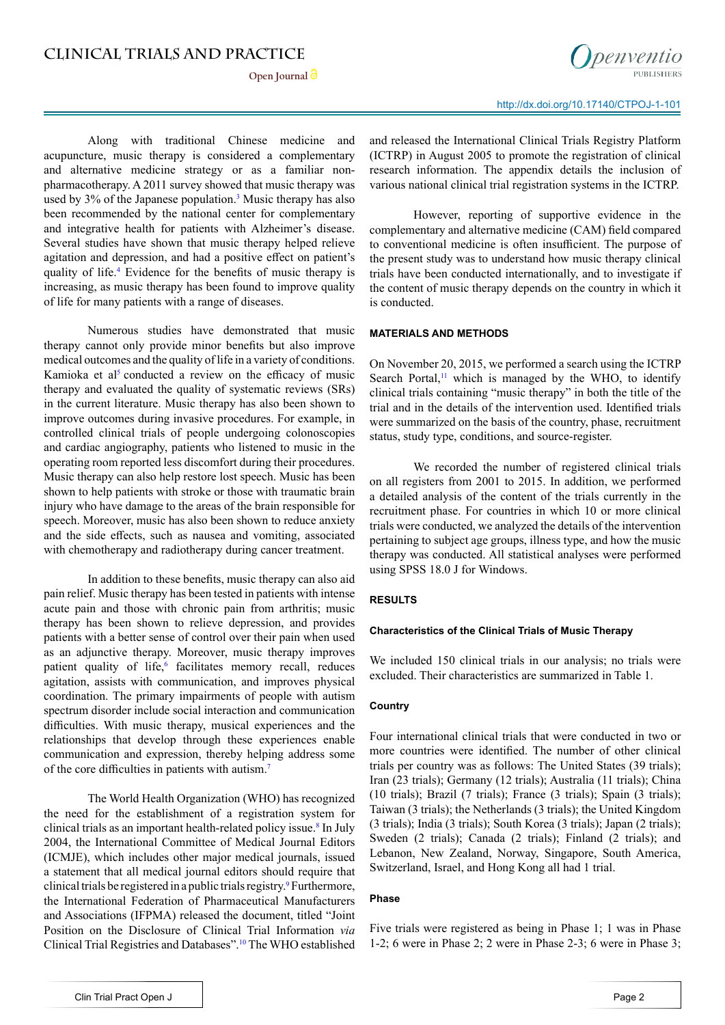**Open Journal**

Along with traditional Chinese medicine and acupuncture, music therapy is considered a complementary and alternative medicine strategy or as a familiar nonpharmacotherapy. A 2011 survey showed that music therapy was used by 3% of the Japanese population.<sup>3</sup> Music therapy has also been recommended by the national center for complementary and integrative health for patients with Alzheimer's disease. Several studies have shown that music therapy helped relieve agitation and depression, and had a positive effect on patient's quality of life.<sup>[4](#page-6-3)</sup> Evidence for the benefits of music therapy is increasing, as music therapy has been found to improve quality of life for many patients with a range of diseases.

Numerous studies have demonstrated that music therapy cannot only provide minor benefits but also improve medical outcomes and the quality of life in a variety of conditions. Kamioka et al<sup>5</sup> conducted a review on the efficacy of music therapy and evaluated the quality of systematic reviews (SRs) in the current literature. Music therapy has also been shown to improve outcomes during invasive procedures. For example, in controlled clinical trials of people undergoing colonoscopies and cardiac angiography, patients who listened to music in the operating room reported less discomfort during their procedures. Music therapy can also help restore lost speech. Music has been shown to help patients with stroke or those with traumatic brain injury who have damage to the areas of the brain responsible for speech. Moreover, music has also been shown to reduce anxiety and the side effects, such as nausea and vomiting, associated with chemotherapy and radiotherapy during cancer treatment.

In addition to these benefits, music therapy can also aid pain relief. Music therapy has been tested in patients with intense acute pain and those with chronic pain from arthritis; music therapy has been shown to relieve depression, and provides patients with a better sense of control over their pain when used as an adjunctive therapy. Moreover, music therapy improves patient quality of life,<sup>[6](#page-6-5)</sup> facilitates memory recall, reduces agitation, assists with communication, and improves physical coordination. The primary impairments of people with autism spectrum disorder include social interaction and communication difficulties. With music therapy, musical experiences and the relationships that develop through these experiences enable communication and expression, thereby helping address some of the core difficulties in patients with autism.[7](#page-6-6)

The World Health Organization (WHO) has recognized the need for the establishment of a registration system for clinical trials as an important health-related policy issue.<sup>8</sup> In July 2004, the International Committee of Medical Journal Editors (ICMJE), which includes other major medical journals, issued a statement that all medical journal editors should require that clinical trials be registered in a public trials registry.[9](#page-6-8) Furthermore, the International Federation of Pharmaceutical Manufacturers and Associations (IFPMA) released the document, titled "Joint Position on the Disclosure of Clinical Trial Information *via* Clinical Trial Registries and Databases"[.10](#page-6-9) The WHO established

and released the International Clinical Trials Registry Platform (ICTRP) in August 2005 to promote the registration of clinical research information. The appendix details the inclusion of various national clinical trial registration systems in the ICTRP.

However, reporting of supportive evidence in the complementary and alternative medicine (CAM) field compared to conventional medicine is often insufficient. The purpose of the present study was to understand how music therapy clinical trials have been conducted internationally, and to investigate if the content of music therapy depends on the country in which it is conducted.

#### **MATERIALS AND METHODS**

On November 20, 2015, we performed a search using the ICTRP Search Portal, $<sup>11</sup>$  which is managed by the WHO, to identify</sup> clinical trials containing "music therapy" in both the title of the trial and in the details of the intervention used. Identified trials were summarized on the basis of the country, phase, recruitment status, study type, conditions, and source-register.

We recorded the number of registered clinical trials on all registers from 2001 to 2015. In addition, we performed a detailed analysis of the content of the trials currently in the recruitment phase. For countries in which 10 or more clinical trials were conducted, we analyzed the details of the intervention pertaining to subject age groups, illness type, and how the music therapy was conducted. All statistical analyses were performed using SPSS 18.0 J for Windows.

#### **RESULTS**

#### **Characteristics of the Clinical Trials of Music Therapy**

We included 150 clinical trials in our analysis; no trials were excluded. Their characteristics are summarized in Table 1.

#### **Country**

Four international clinical trials that were conducted in two or more countries were identified. The number of other clinical trials per country was as follows: The United States (39 trials); Iran (23 trials); Germany (12 trials); Australia (11 trials); China (10 trials); Brazil (7 trials); France (3 trials); Spain (3 trials); Taiwan (3 trials); the Netherlands (3 trials); the United Kingdom (3 trials); India (3 trials); South Korea (3 trials); Japan (2 trials); Sweden (2 trials); Canada (2 trials); Finland (2 trials); and Lebanon, New Zealand, Norway, Singapore, South America, Switzerland, Israel, and Hong Kong all had 1 trial.

#### **Phase**

Five trials were registered as being in Phase 1; 1 was in Phase 1-2; 6 were in Phase 2; 2 were in Phase 2-3; 6 were in Phase 3;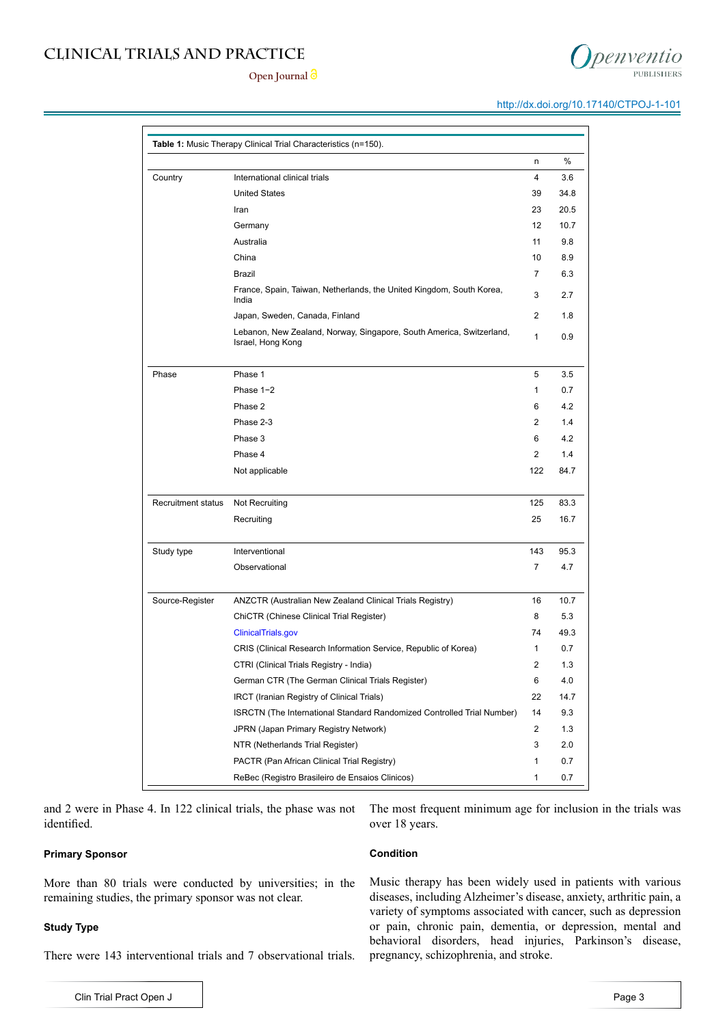#### **Open Journal**

**Table 1:** Music Therapy Clinical Trial Characteristics (n=150).

|                    | Iran                                                                                      | 23             | 20.5 |
|--------------------|-------------------------------------------------------------------------------------------|----------------|------|
|                    | Germany                                                                                   | 12             | 10.7 |
|                    | Australia                                                                                 | 11             | 9.8  |
|                    | China                                                                                     | 10             | 8.9  |
|                    | <b>Brazil</b>                                                                             | $\overline{7}$ | 6.3  |
|                    | France, Spain, Taiwan, Netherlands, the United Kingdom, South Korea,<br>India             | 3              | 2.7  |
|                    | Japan, Sweden, Canada, Finland                                                            | $\overline{2}$ | 1.8  |
|                    | Lebanon, New Zealand, Norway, Singapore, South America, Switzerland,<br>Israel, Hong Kong | 1              | 0.9  |
| Phase              | Phase 1                                                                                   | 5              | 3.5  |
|                    | Phase $1-2$                                                                               | $\mathbf{1}$   | 0.7  |
|                    | Phase 2                                                                                   | 6              | 4.2  |
|                    | Phase 2-3                                                                                 | $\overline{2}$ | 1.4  |
|                    | Phase 3                                                                                   | 6              | 4.2  |
|                    | Phase 4                                                                                   | $\overline{2}$ | 1.4  |
|                    | Not applicable                                                                            | 122            | 84.7 |
|                    |                                                                                           |                |      |
| Recruitment status | Not Recruiting                                                                            | 125            | 83.3 |
|                    | Recruiting                                                                                | 25             | 16.7 |
|                    |                                                                                           |                |      |
| Study type         | Interventional                                                                            | 143            | 95.3 |
|                    | Observational                                                                             | $\overline{7}$ | 4.7  |
|                    |                                                                                           |                |      |
| Source-Register    | ANZCTR (Australian New Zealand Clinical Trials Registry)                                  | 16             | 10.7 |
|                    | ChiCTR (Chinese Clinical Trial Register)                                                  | 8              | 5.3  |
|                    | ClinicalTrials.gov                                                                        | 74             | 49.3 |
|                    | CRIS (Clinical Research Information Service, Republic of Korea)                           | 1              | 0.7  |
|                    | CTRI (Clinical Trials Registry - India)                                                   | 2              | 1.3  |
|                    | German CTR (The German Clinical Trials Register)                                          | 6              | 4.0  |
|                    | IRCT (Iranian Registry of Clinical Trials)                                                | 22             | 14.7 |
|                    | ISRCTN (The International Standard Randomized Controlled Trial Number)                    | 14             | 9.3  |
|                    | JPRN (Japan Primary Registry Network)                                                     | $\overline{2}$ | 1.3  |
|                    | NTR (Netherlands Trial Register)                                                          | 3              | 2.0  |
|                    | PACTR (Pan African Clinical Trial Registry)                                               | 1              | 0.7  |
|                    | ReBec (Registro Brasileiro de Ensaios Clinicos)                                           | 1              | 0.7  |

Country International clinical trials 4 3.6

United States 39 34.8

and 2 were in Phase 4. In 122 clinical trials, the phase was not identified.

#### **Primary Sponsor**

More than 80 trials were conducted by universities; in the remaining studies, the primary sponsor was not clear.

#### **Study Type**

Clin Trial Pract Open J

There were 143 interventional trials and 7 observational trials.

#### **Condition**

over 18 years.

Music therapy has been widely used in patients with various diseases, including Alzheimer's disease, anxiety, arthritic pain, a variety of symptoms associated with cancer, such as depression or pain, chronic pain, dementia, or depression, mental and behavioral disorders, head injuries, Parkinson's disease, pregnancy, schizophrenia, and stroke.

The most frequent minimum age for inclusion in the trials was

n %

# oenventio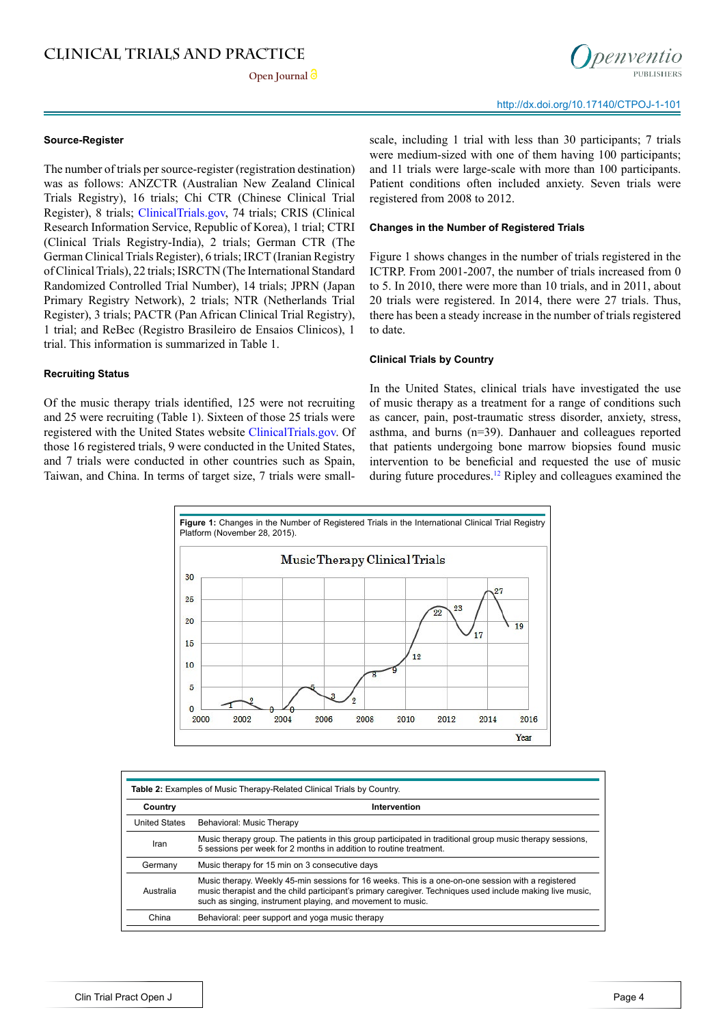**Open Journal**



#### **Source-Register**

The number of trials per source-register (registration destination) was as follows: ANZCTR (Australian New Zealand Clinical Trials Registry), 16 trials; Chi CTR (Chinese Clinical Trial Register), 8 trials; <ClinicalTrials.gov>, 74 trials; CRIS (Clinical Research Information Service, Republic of Korea), 1 trial; CTRI (Clinical Trials Registry-India), 2 trials; German CTR (The German Clinical Trials Register), 6 trials; IRCT (Iranian Registry of Clinical Trials), 22 trials; ISRCTN (The International Standard Randomized Controlled Trial Number), 14 trials; JPRN (Japan Primary Registry Network), 2 trials; NTR (Netherlands Trial Register), 3 trials; PACTR (Pan African Clinical Trial Registry), 1 trial; and ReBec (Registro Brasileiro de Ensaios Clinicos), 1 trial. This information is summarized in Table 1.

#### **Recruiting Status**

Of the music therapy trials identified, 125 were not recruiting and 25 were recruiting (Table 1). Sixteen of those 25 trials were registered with the United States website [ClinicalTrials.gov.](ClinicalTrials.gov) Of those 16 registered trials, 9 were conducted in the United States, and 7 trials were conducted in other countries such as Spain, Taiwan, and China. In terms of target size, 7 trials were smallscale, including 1 trial with less than 30 participants; 7 trials were medium-sized with one of them having 100 participants; and 11 trials were large-scale with more than 100 participants. Patient conditions often included anxiety. Seven trials were registered from 2008 to 2012.

#### **Changes in the Number of Registered Trials**

Figure 1 shows changes in the number of trials registered in the ICTRP. From 2001-2007, the number of trials increased from 0 to 5. In 2010, there were more than 10 trials, and in 2011, about 20 trials were registered. In 2014, there were 27 trials. Thus, there has been a steady increase in the number of trials registered to date.

#### **Clinical Trials by Country**

In the United States, clinical trials have investigated the use of music therapy as a treatment for a range of conditions such as cancer, pain, post-traumatic stress disorder, anxiety, stress, asthma, and burns (n=39). Danhauer and colleagues reported that patients undergoing bone marrow biopsies found music intervention to be beneficial and requested the use of music during future procedures.<sup>[12](#page-6-11)</sup> Ripley and colleagues examined the



| Country              | Intervention                                                                                                                                                                                                                                                                   |
|----------------------|--------------------------------------------------------------------------------------------------------------------------------------------------------------------------------------------------------------------------------------------------------------------------------|
| <b>United States</b> | Behavioral: Music Therapy                                                                                                                                                                                                                                                      |
| Iran                 | Music therapy group. The patients in this group participated in traditional group music therapy sessions,<br>5 sessions per week for 2 months in addition to routine treatment.                                                                                                |
| Germany              | Music therapy for 15 min on 3 consecutive days                                                                                                                                                                                                                                 |
| Australia            | Music therapy. Weekly 45-min sessions for 16 weeks. This is a one-on-one session with a registered<br>music therapist and the child participant's primary caregiver. Techniques used include making live music,<br>such as singing, instrument playing, and movement to music. |
| China                | Behavioral: peer support and yoga music therapy                                                                                                                                                                                                                                |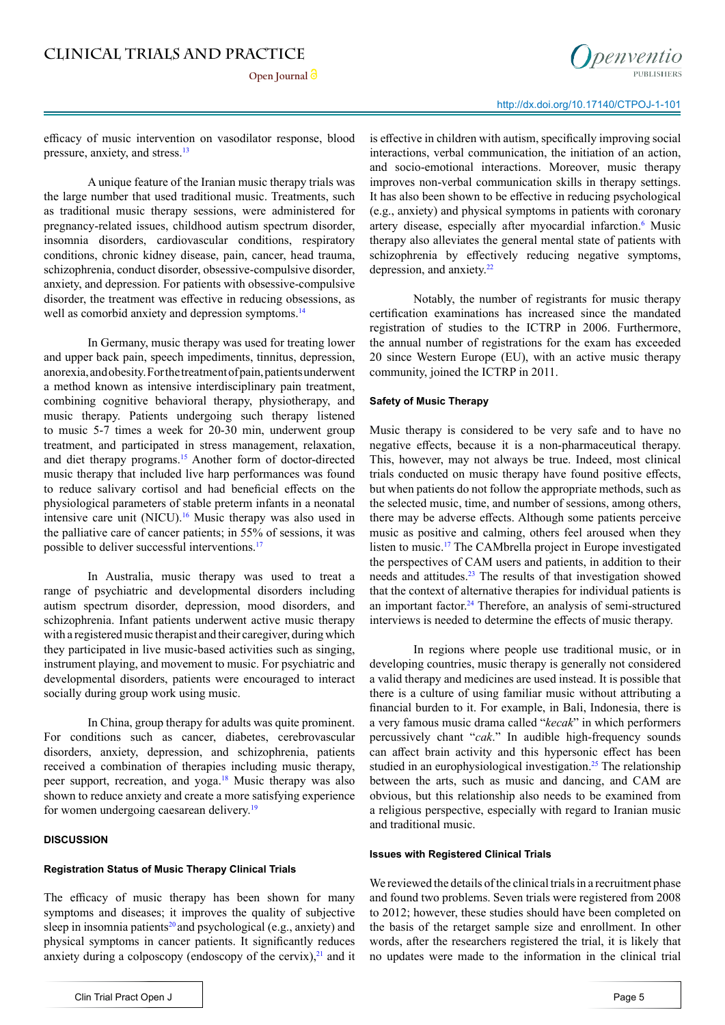

efficacy of music intervention on vasodilator response, blood pressure, anxiety, and stress.13

A unique feature of the Iranian music therapy trials was the large number that used traditional music. Treatments, such as traditional music therapy sessions, were administered for pregnancy-related issues, childhood autism spectrum disorder, insomnia disorders, cardiovascular conditions, respiratory conditions, chronic kidney disease, pain, cancer, head trauma, schizophrenia, conduct disorder, obsessive-compulsive disorder, anxiety, and depression. For patients with obsessive-compulsive disorder, the treatment was effective in reducing obsessions, as well as comorbid anxiety and depression symptoms.<sup>14</sup>

In Germany, music therapy was used for treating lower and upper back pain, speech impediments, tinnitus, depression, anorexia, and obesity. For the treatment of pain, patients underwent a method known as intensive interdisciplinary pain treatment, combining cognitive behavioral therapy, physiotherapy, and music therapy. Patients undergoing such therapy listened to music 5-7 times a week for 20-30 min, underwent group treatment, and participated in stress management, relaxation, and diet therapy programs[.15](#page-6-12) Another form of doctor-directed music therapy that included live harp performances was found to reduce salivary cortisol and had beneficial effects on the physiological parameters of stable preterm infants in a neonatal intensive care unit (NICU).[16](#page-6-13) Music therapy was also used in the palliative care of cancer patients; in 55% of sessions, it was possible to deliver successful interventions.<sup>17</sup>

In Australia, music therapy was used to treat a range of psychiatric and developmental disorders including autism spectrum disorder, depression, mood disorders, and schizophrenia. Infant patients underwent active music therapy with a registered music therapist and their caregiver, during which they participated in live music-based activities such as singing, instrument playing, and movement to music. For psychiatric and developmental disorders, patients were encouraged to interact socially during group work using music.

In China, group therapy for adults was quite prominent. For conditions such as cancer, diabetes, cerebrovascular disorders, anxiety, depression, and schizophrenia, patients received a combination of therapies including music therapy, peer support, recreation, and yoga.[18](#page-6-15) Music therapy was also shown to reduce anxiety and create a more satisfying experience for women undergoing caesarean delivery.<sup>[19](#page-6-16)</sup>

#### **DISCUSSION**

#### **Registration Status of Music Therapy Clinical Trials**

The efficacy of music therapy has been shown for many symptoms and diseases; it improves the quality of subjective sleep in insomnia patients<sup>[20](#page-6-17)</sup> and psychological (e.g., anxiety) and physical symptoms in cancer patients. It significantly reduces anxiety during a colposcopy (endoscopy of the cervix), $2<sup>1</sup>$  and it is effective in children with autism, specifically improving social interactions, verbal communication, the initiation of an action, and socio-emotional interactions. Moreover, music therapy improves non-verbal communication skills in therapy settings. It has also been shown to be effective in reducing psychological (e.g., anxiety) and physical symptoms in patients with coronary artery disease, especially after myocardial infarction.<sup>[6](#page-6-5)</sup> Music therapy also alleviates the general mental state of patients with schizophrenia by effectively reducing negative symptoms, depression, and anxiety.[22](#page-7-1)

Notably, the number of registrants for music therapy certification examinations has increased since the mandated registration of studies to the ICTRP in 2006. Furthermore, the annual number of registrations for the exam has exceeded 20 since Western Europe (EU), with an active music therapy community, joined the ICTRP in 2011.

#### **Safety of Music Therapy**

Music therapy is considered to be very safe and to have no negative effects, because it is a non-pharmaceutical therapy. This, however, may not always be true. Indeed, most clinical trials conducted on music therapy have found positive effects, but when patients do not follow the appropriate methods, such as the selected music, time, and number of sessions, among others, there may be adverse effects. Although some patients perceive music as positive and calming, others feel aroused when they listen to music.[17](#page-6-14) The CAMbrella project in Europe investigated the perspectives of CAM users and patients, in addition to their needs and attitudes.<sup>[23](#page-7-2)</sup> The results of that investigation showed that the context of alternative therapies for individual patients is an important factor.<sup>[24](#page-7-3)</sup> Therefore, an analysis of semi-structured interviews is needed to determine the effects of music therapy.

In regions where people use traditional music, or in developing countries, music therapy is generally not considered a valid therapy and medicines are used instead. It is possible that there is a culture of using familiar music without attributing a financial burden to it. For example, in Bali, Indonesia, there is a very famous music drama called "*kecak*" in which performers percussively chant "*cak*." In audible high-frequency sounds can affect brain activity and this hypersonic effect has been studied in an europhysiological investigation.<sup>[25](#page-7-4)</sup> The relationship between the arts, such as music and dancing, and CAM are obvious, but this relationship also needs to be examined from a religious perspective, especially with regard to Iranian music and traditional music.

#### **Issues with Registered Clinical Trials**

We reviewed the details of the clinical trials in a recruitment phase and found two problems. Seven trials were registered from 2008 to 2012; however, these studies should have been completed on the basis of the retarget sample size and enrollment. In other words, after the researchers registered the trial, it is likely that no updates were made to the information in the clinical trial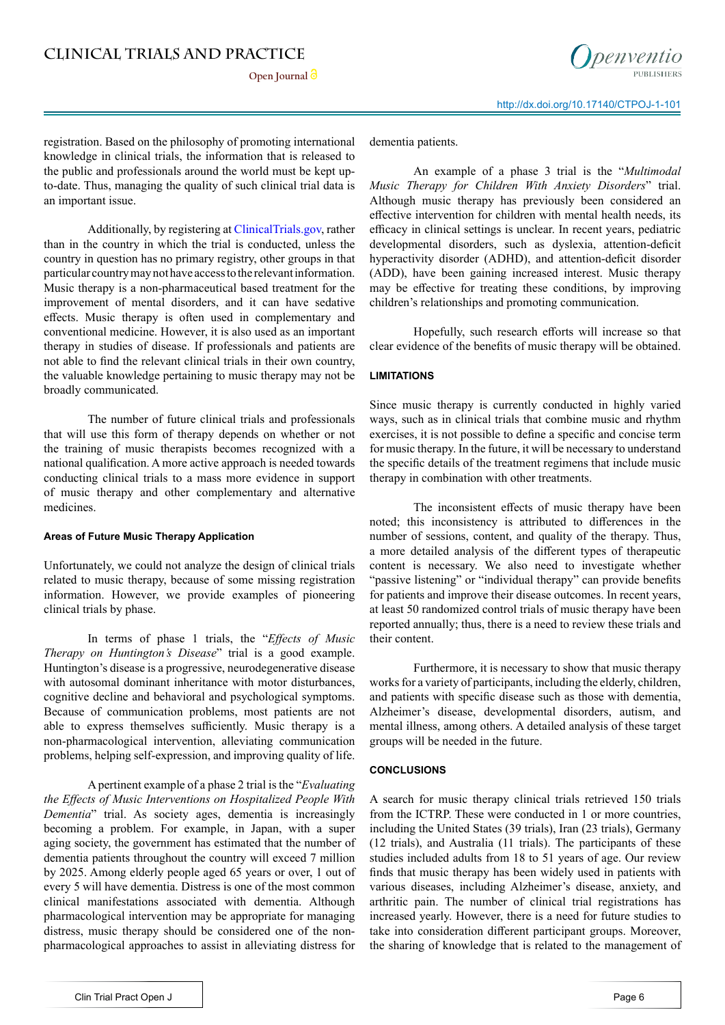**Open Journal**



registration. Based on the philosophy of promoting international knowledge in clinical trials, the information that is released to the public and professionals around the world must be kept upto-date. Thus, managing the quality of such clinical trial data is an important issue.

Additionally, by registering at [ClinicalTrials.gov,](ClinicalTrials.gov) rather than in the country in which the trial is conducted, unless the country in question has no primary registry, other groups in that particular country may not have access to the relevant information. Music therapy is a non-pharmaceutical based treatment for the improvement of mental disorders, and it can have sedative effects. Music therapy is often used in complementary and conventional medicine. However, it is also used as an important therapy in studies of disease. If professionals and patients are not able to find the relevant clinical trials in their own country, the valuable knowledge pertaining to music therapy may not be broadly communicated.

The number of future clinical trials and professionals that will use this form of therapy depends on whether or not the training of music therapists becomes recognized with a national qualification. A more active approach is needed towards conducting clinical trials to a mass more evidence in support of music therapy and other complementary and alternative medicines.

#### **Areas of Future Music Therapy Application**

Unfortunately, we could not analyze the design of clinical trials related to music therapy, because of some missing registration information. However, we provide examples of pioneering clinical trials by phase.

In terms of phase 1 trials, the "*Effects of Music Therapy on Huntington's Disease*" trial is a good example. Huntington's disease is a progressive, neurodegenerative disease with autosomal dominant inheritance with motor disturbances, cognitive decline and behavioral and psychological symptoms. Because of communication problems, most patients are not able to express themselves sufficiently. Music therapy is a non-pharmacological intervention, alleviating communication problems, helping self-expression, and improving quality of life.

A pertinent example of a phase 2 trial is the "*Evaluating the Effects of Music Interventions on Hospitalized People With Dementia*" trial. As society ages, dementia is increasingly becoming a problem. For example, in Japan, with a super aging society, the government has estimated that the number of dementia patients throughout the country will exceed 7 million by 2025. Among elderly people aged 65 years or over, 1 out of every 5 will have dementia. Distress is one of the most common clinical manifestations associated with dementia. Although pharmacological intervention may be appropriate for managing distress, music therapy should be considered one of the nonpharmacological approaches to assist in alleviating distress for

dementia patients.

An example of a phase 3 trial is the "*Multimodal Music Therapy for Children With Anxiety Disorders*" trial. Although music therapy has previously been considered an effective intervention for children with mental health needs, its efficacy in clinical settings is unclear. In recent years, pediatric developmental disorders, such as dyslexia, attention-deficit hyperactivity disorder (ADHD), and attention-deficit disorder (ADD), have been gaining increased interest. Music therapy may be effective for treating these conditions, by improving children's relationships and promoting communication.

Hopefully, such research efforts will increase so that clear evidence of the benefits of music therapy will be obtained.

#### **LIMITATIONS**

Since music therapy is currently conducted in highly varied ways, such as in clinical trials that combine music and rhythm exercises, it is not possible to define a specific and concise term for music therapy. In the future, it will be necessary to understand the specific details of the treatment regimens that include music therapy in combination with other treatments.

The inconsistent effects of music therapy have been noted; this inconsistency is attributed to differences in the number of sessions, content, and quality of the therapy. Thus, a more detailed analysis of the different types of therapeutic content is necessary. We also need to investigate whether "passive listening" or "individual therapy" can provide benefits for patients and improve their disease outcomes. In recent years, at least 50 randomized control trials of music therapy have been reported annually; thus, there is a need to review these trials and their content.

Furthermore, it is necessary to show that music therapy works for a variety of participants, including the elderly, children, and patients with specific disease such as those with dementia, Alzheimer's disease, developmental disorders, autism, and mental illness, among others. A detailed analysis of these target groups will be needed in the future.

#### **CONCLUSIONS**

A search for music therapy clinical trials retrieved 150 trials from the ICTRP. These were conducted in 1 or more countries, including the United States (39 trials), Iran (23 trials), Germany (12 trials), and Australia (11 trials). The participants of these studies included adults from 18 to 51 years of age. Our review finds that music therapy has been widely used in patients with various diseases, including Alzheimer's disease, anxiety, and arthritic pain. The number of clinical trial registrations has increased yearly. However, there is a need for future studies to take into consideration different participant groups. Moreover, the sharing of knowledge that is related to the management of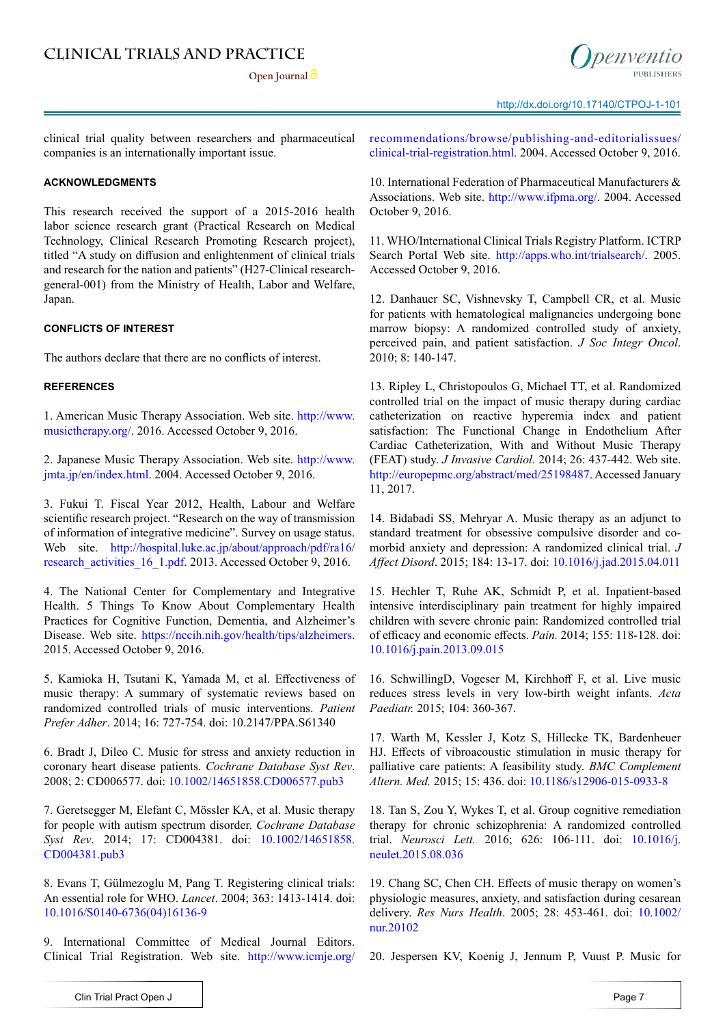

clinical trial quality between researchers and pharmaceutical companies is an internationally important issue.

#### **ACKNOWLEDGMENTS**

This research received the support of a 2015-2016 health labor science research grant (Practical Research on Medical Technology, Clinical Research Promoting Research project), titled "A study on diffusion and enlightenment of clinical trials and research for the nation and patients" (H27-Clinical researchgeneral-001) from the Ministry of Health, Labor and Welfare, Japan.

#### **CONFLICTS OF INTEREST**

The authors declare that there are no conflicts of interest.

#### **REFERENCES**

<span id="page-6-0"></span>1. American Music Therapy Association. Web site. [http://www.](http://www.musictherapy.org/) [musictherapy.org/](http://www.musictherapy.org/). 2016. Accessed October 9, 2016.

<span id="page-6-1"></span>2. Japanese Music Therapy Association. Web site. [http://www.](http://www.jmta.jp/en/index.html) [jmta.jp/en/index.html](http://www.jmta.jp/en/index.html). 2004. Accessed October 9, 2016.

<span id="page-6-2"></span>3. Fukui T. Fiscal Year 2012, Health, Labour and Welfare scientific research project. "Research on the way of transmission of information of integrative medicine". Survey on usage status. Web site. [http://hospital.luke.ac.jp/about/approach/pdf/ra16/](http://hospital.luke.ac.jp/about/approach/pdf/ra16/research_activities_16_1.pdf) research activities 16 1.pdf. 2013. Accessed October 9, 2016.

<span id="page-6-3"></span>4. The National Center for Complementary and Integrative Health. 5 Things To Know About Complementary Health Practices for Cognitive Function, Dementia, and Alzheimer's Disease. Web site. <https://nccih.nih.gov/health/tips/alzheimers>. 2015. Accessed October 9, 2016.

<span id="page-6-4"></span>5. Kamioka H, Tsutani K, Yamada M, et al. Effectiveness of music therapy: A summary of systematic reviews based on randomized controlled trials of music interventions. *Patient Prefer Adher*. 2014; 16: 727-754. doi: [10.2147/PPA.S61340](http://pubmedcentralcanada.ca/pmcc/articles/PMC4036702/)

<span id="page-6-5"></span>6. Bradt J, Dileo C. Music for stress and anxiety reduction in coronary heart disease patients. *Cochrane Database Syst Rev*. 2008; 2: CD006577. doi: [10.1002/14651858.CD006577.pub3](http://onlinelibrary.wiley.com/doi/10.1002/14651858.CD006577.pub3/full)

<span id="page-6-6"></span>7. Geretsegger M, Elefant C, Mössler KA, et al. Music therapy for people with autism spectrum disorder. *Cochrane Database Syst Rev*. 2014; 17: CD004381. doi: [10.1002/14651858.](https://www.ncbi.nlm.nih.gov/pubmed/24936966) [CD004381.pub3](https://www.ncbi.nlm.nih.gov/pubmed/24936966)

<span id="page-6-7"></span>8. Evans T, Gülmezoglu M, Pang T. Registering clinical trials: An essential role for WHO. *Lancet*. 2004; 363: 1413-1414. doi: [10.1016/S0140-6736\(04\)16136-9](http://www.thelancet.com/journals/lancet/article/PIIS0140-6736%2804%2916136-9/abstract)

<span id="page-6-8"></span>9. International Committee of Medical Journal Editors. Clinical Trial Registration. Web site. [http://www.icmje.org/](http://www.icmje.org/recommendations/browse/publishing-and-editorialissues/clinical-trial-registration.html) [recommendations/browse/publishing-and-editorialissues/](http://www.icmje.org/recommendations/browse/publishing-and-editorialissues/clinical-trial-registration.html) [clinical-trial-registration.html](http://www.icmje.org/recommendations/browse/publishing-and-editorialissues/clinical-trial-registration.html). 2004. Accessed October 9, 2016.

<span id="page-6-9"></span>10. International Federation of Pharmaceutical Manufacturers & Associations. Web site. <http://www.ifpma.org/>. 2004. Accessed October 9, 2016.

<span id="page-6-10"></span>11. WHO/International Clinical Trials Registry Platform. ICTRP Search Portal Web site. <http://apps.who.int/trialsearch/>. 2005. Accessed October 9, 2016.

<span id="page-6-11"></span>12. Danhauer SC, Vishnevsky T, Campbell CR, et al. Music for patients with hematological malignancies undergoing bone marrow biopsy: A randomized controlled study of anxiety, perceived pain, and patient satisfaction. *J Soc Integr Oncol*. 2010; 8: 140-147.

13. Ripley L, Christopoulos G, Michael TT, et al. Randomized controlled trial on the impact of music therapy during cardiac catheterization on reactive hyperemia index and patient satisfaction: The Functional Change in Endothelium After Cardiac Catheterization, With and Without Music Therapy (FEAT) study. *J Invasive Cardiol.* 2014; 26: 437-442. Web site. <http://europepmc.org/abstract/med/25198487>. Accessed January 11, 2017.

14. Bidabadi SS, Mehryar A. Music therapy as an adjunct to standard treatment for obsessive compulsive disorder and comorbid anxiety and depression: A randomized clinical trial. *J Affect Disord*. 2015; 184: 13-17. doi: [10.1016/j.jad.2015.04.011](http://www.sciencedirect.com/science/article/pii/S0165032715002268)

<span id="page-6-12"></span>15. Hechler T, Ruhe AK, Schmidt P, et al. Inpatient-based intensive interdisciplinary pain treatment for highly impaired children with severe chronic pain: Randomized controlled trial of efficacy and economic effects. *Pain.* 2014; 155: 118-128. doi: [10.1016/j.pain.2013.09.015](http://www.sciencedirect.com/science/article/pii/S0304395913005125)

<span id="page-6-13"></span>16. SchwillingD, Vogeser M, Kirchhoff F, et al. Live music reduces stress levels in very low-birth weight infants. *Acta Paediatr.* 2015; 104: 360-367.

<span id="page-6-14"></span>17. Warth M, Kessler J, Kotz S, Hillecke TK, Bardenheuer HJ. Effects of vibroacoustic stimulation in music therapy for palliative care patients: A feasibility study. *BMC Complement Altern. Med.* 2015; 15: 436. doi: [10.1186/s12906-015-0933-8](https://bmccomplementalternmed.biomedcentral.com/articles/10.1186/s12906-015-0933-8)

<span id="page-6-15"></span>18. Tan S, Zou Y, Wykes T, et al. Group cognitive remediation therapy for chronic schizophrenia: A randomized controlled trial. *Neurosci Lett.* 2016; 626: 106-111. doi: [10.1016/j.](http://www.sciencedirect.com/science/article/pii/S0304394015301063) [neulet.2015.08.036](http://www.sciencedirect.com/science/article/pii/S0304394015301063)

<span id="page-6-16"></span>19. Chang SC, Chen CH. Effects of music therapy on women's physiologic measures, anxiety, and satisfaction during cesarean delivery. *Res Nurs Health*. 2005; 28: 453-461. doi: [10.1002/](http://onlinelibrary.wiley.com/doi/10.1002/nur.20102/abstract) [nur.20102](http://onlinelibrary.wiley.com/doi/10.1002/nur.20102/abstract)

<span id="page-6-17"></span>20. Jespersen KV, Koenig J, Jennum P, Vuust P. Music for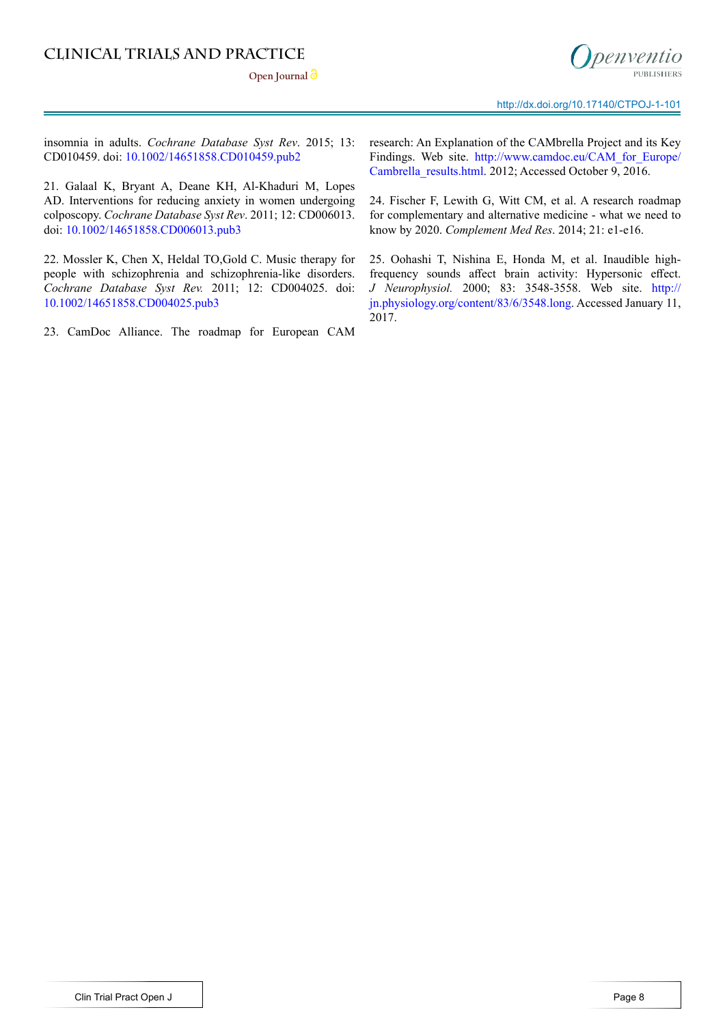Open Journal<sup>3</sup>



insomnia in adults. *Cochrane Database Syst Rev*. 2015; 13: CD010459. doi: [10.1002/14651858.CD010459.pub2](http://onlinelibrary.wiley.com/doi/10.1002/14651858.CD010459.pub2/pdf)

<span id="page-7-0"></span>21. Galaal K, Bryant A, Deane KH, Al-Khaduri M, Lopes AD. Interventions for reducing anxiety in women undergoing colposcopy. *Cochrane Database Syst Rev*. 2011; 12: CD006013. doi: [10.1002/14651858.CD006013.pub3](http://onlinelibrary.wiley.com/doi/10.1002/14651858.CD006013.pub3/full)

<span id="page-7-1"></span>22. Mossler K, Chen X, Heldal TO,Gold C. Music therapy for people with schizophrenia and schizophrenia-like disorders. *Cochrane Database Syst Rev.* 2011; 12: CD004025. doi: [10.1002/14651858.CD004025.pub3](https://www.ncbi.nlm.nih.gov/pubmed/22161383)

<span id="page-7-2"></span>23. CamDoc Alliance. The roadmap for European CAM

research: An Explanation of the CAMbrella Project and its Key Findings. Web site. [http://www.camdoc.eu/CAM\\_for\\_Europe/](http://www.camdoc.eu/CAM_for_Europe/Cambrella_results.html) Cambrella results.html. 2012; Accessed October 9, 2016.

<span id="page-7-3"></span>24. Fischer F, Lewith G, Witt CM, et al. A research roadmap for complementary and alternative medicine - what we need to know by 2020. *Complement Med Res*. 2014; 21: e1-e16.

<span id="page-7-4"></span>25. Oohashi T, Nishina E, Honda M, et al. Inaudible highfrequency sounds affect brain activity: Hypersonic effect. *J Neurophysiol.* 2000; 83: 3548-3558. Web site. [http://](http://jn.physiology.org/content/83/6/3548.long) [jn.physiology.org/content/83/6/3548.long](http://jn.physiology.org/content/83/6/3548.long). Accessed January 11, 2017.